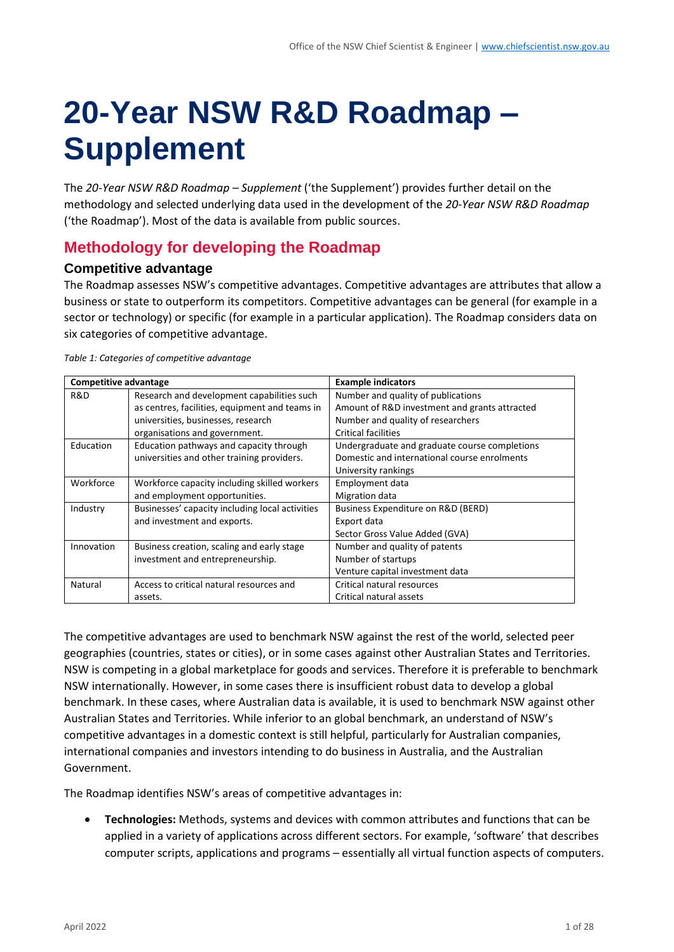# **20-Year NSW R&D Roadmap – Supplement**

The *20-Year NSW R&D Roadmap – Supplement* ('the Supplement') provides further detail on the methodology and selected underlying data used in the development of the *20-Year NSW R&D Roadmap* ('the Roadmap'). Most of the data is available from public sources.

# **Methodology for developing the Roadmap**

# **Competitive advantage**

The Roadmap assesses NSW's competitive advantages. Competitive advantages are attributes that allow a business or state to outperform its competitors. Competitive advantages can be general (for example in a sector or technology) or specific (for example in a particular application). The Roadmap considers data on six categories of competitive advantage.

| Competitive advantage |                                                 | <b>Example indicators</b>                     |
|-----------------------|-------------------------------------------------|-----------------------------------------------|
| R&D                   | Research and development capabilities such      | Number and quality of publications            |
|                       | as centres, facilities, equipment and teams in  | Amount of R&D investment and grants attracted |
|                       | universities, businesses, research              | Number and quality of researchers             |
|                       | organisations and government.                   | <b>Critical facilities</b>                    |
| Education             | Education pathways and capacity through         | Undergraduate and graduate course completions |
|                       | universities and other training providers.      | Domestic and international course enrolments  |
|                       |                                                 | University rankings                           |
| Workforce             | Workforce capacity including skilled workers    | Employment data                               |
|                       | and employment opportunities.                   | Migration data                                |
| Industry              | Businesses' capacity including local activities | Business Expenditure on R&D (BERD)            |
|                       | and investment and exports.                     | Export data                                   |
|                       |                                                 | Sector Gross Value Added (GVA)                |
| Innovation            | Business creation, scaling and early stage      | Number and quality of patents                 |
|                       | investment and entrepreneurship.                | Number of startups                            |
|                       |                                                 | Venture capital investment data               |
| Natural               | Access to critical natural resources and        | Critical natural resources                    |
|                       | assets.                                         | Critical natural assets                       |

*Table 1: Categories of competitive advantage*

The competitive advantages are used to benchmark NSW against the rest of the world, selected peer geographies (countries, states or cities), or in some cases against other Australian States and Territories. NSW is competing in a global marketplace for goods and services. Therefore it is preferable to benchmark NSW internationally. However, in some cases there is insufficient robust data to develop a global benchmark. In these cases, where Australian data is available, it is used to benchmark NSW against other Australian States and Territories. While inferior to an global benchmark, an understand of NSW's competitive advantages in a domestic context is still helpful, particularly for Australian companies, international companies and investors intending to do business in Australia, and the Australian Government.

The Roadmap identifies NSW's areas of competitive advantages in:

• **Technologies:** Methods, systems and devices with common attributes and functions that can be applied in a variety of applications across different sectors. For example, 'software' that describes computer scripts, applications and programs – essentially all virtual function aspects of computers.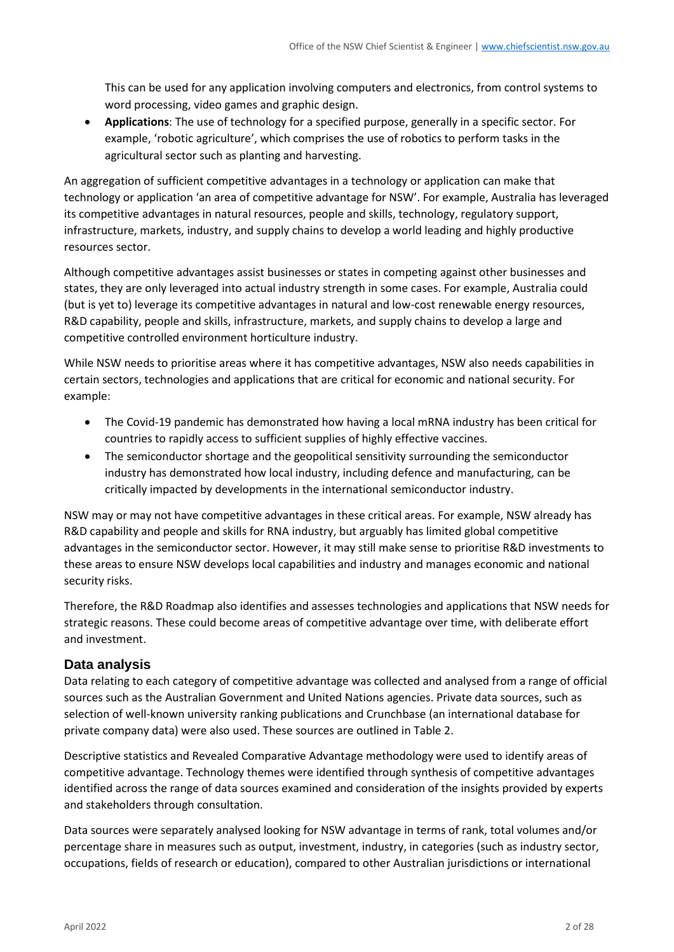This can be used for any application involving computers and electronics, from control systems to word processing, video games and graphic design.

• **Applications**: The use of technology for a specified purpose, generally in a specific sector. For example, 'robotic agriculture', which comprises the use of robotics to perform tasks in the agricultural sector such as planting and harvesting.

An aggregation of sufficient competitive advantages in a technology or application can make that technology or application 'an area of competitive advantage for NSW'. For example, Australia has leveraged its competitive advantages in natural resources, people and skills, technology, regulatory support, infrastructure, markets, industry, and supply chains to develop a world leading and highly productive resources sector.

Although competitive advantages assist businesses or states in competing against other businesses and states, they are only leveraged into actual industry strength in some cases. For example, Australia could (but is yet to) leverage its competitive advantages in natural and low-cost renewable energy resources, R&D capability, people and skills, infrastructure, markets, and supply chains to develop a large and competitive controlled environment horticulture industry.

While NSW needs to prioritise areas where it has competitive advantages, NSW also needs capabilities in certain sectors, technologies and applications that are critical for economic and national security. For example:

- The Covid-19 pandemic has demonstrated how having a local mRNA industry has been critical for countries to rapidly access to sufficient supplies of highly effective vaccines.
- The semiconductor shortage and the geopolitical sensitivity surrounding the semiconductor industry has demonstrated how local industry, including defence and manufacturing, can be critically impacted by developments in the international semiconductor industry.

NSW may or may not have competitive advantages in these critical areas. For example, NSW already has R&D capability and people and skills for RNA industry, but arguably has limited global competitive advantages in the semiconductor sector. However, it may still make sense to prioritise R&D investments to these areas to ensure NSW develops local capabilities and industry and manages economic and national security risks.

Therefore, the R&D Roadmap also identifies and assesses technologies and applications that NSW needs for strategic reasons. These could become areas of competitive advantage over time, with deliberate effort and investment.

## **Data analysis**

Data relating to each category of competitive advantage was collected and analysed from a range of official sources such as the Australian Government and United Nations agencies. Private data sources, such as selection of well-known university ranking publications and Crunchbase (an international database for private company data) were also used. These sources are outlined i[n Table 2.](#page-4-0)

Descriptive statistics and Revealed Comparative Advantage methodology were used to identify areas of competitive advantage. Technology themes were identified through synthesis of competitive advantages identified across the range of data sources examined and consideration of the insights provided by experts and stakeholders through consultation.

Data sources were separately analysed looking for NSW advantage in terms of rank, total volumes and/or percentage share in measures such as output, investment, industry, in categories (such as industry sector, occupations, fields of research or education), compared to other Australian jurisdictions or international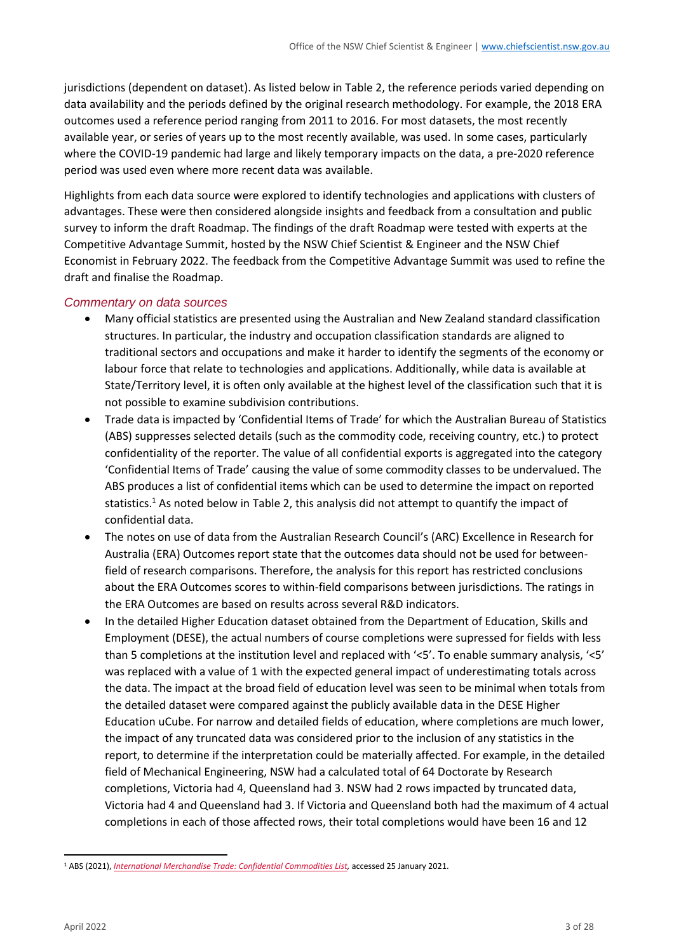jurisdictions (dependent on dataset). As listed below in [Table 2,](#page-4-0) the reference periods varied depending on data availability and the periods defined by the original research methodology. For example, the 2018 ERA outcomes used a reference period ranging from 2011 to 2016. For most datasets, the most recently available year, or series of years up to the most recently available, was used. In some cases, particularly where the COVID-19 pandemic had large and likely temporary impacts on the data, a pre-2020 reference period was used even where more recent data was available.

Highlights from each data source were explored to identify technologies and applications with clusters of advantages. These were then considered alongside insights and feedback from a consultation and public survey to inform the draft Roadmap. The findings of the draft Roadmap were tested with experts at the Competitive Advantage Summit, hosted by the NSW Chief Scientist & Engineer and the NSW Chief Economist in February 2022. The feedback from the Competitive Advantage Summit was used to refine the draft and finalise the Roadmap.

#### *Commentary on data sources*

- Many official statistics are presented using the Australian and New Zealand standard classification structures. In particular, the industry and occupation classification standards are aligned to traditional sectors and occupations and make it harder to identify the segments of the economy or labour force that relate to technologies and applications. Additionally, while data is available at State/Territory level, it is often only available at the highest level of the classification such that it is not possible to examine subdivision contributions.
- Trade data is impacted by 'Confidential Items of Trade' for which the Australian Bureau of Statistics (ABS) suppresses selected details (such as the commodity code, receiving country, etc.) to protect confidentiality of the reporter. The value of all confidential exports is aggregated into the category 'Confidential Items of Trade' causing the value of some commodity classes to be undervalued. The ABS produces a list of confidential items which can be used to determine the impact on reported statistics.<sup>1</sup> As noted below in [Table 2,](#page-4-0) this analysis did not attempt to quantify the impact of confidential data.
- The notes on use of data from the Australian Research Council's (ARC) Excellence in Research for Australia (ERA) Outcomes report state that the outcomes data should not be used for betweenfield of research comparisons. Therefore, the analysis for this report has restricted conclusions about the ERA Outcomes scores to within-field comparisons between jurisdictions. The ratings in the ERA Outcomes are based on results across several R&D indicators.
- In the detailed Higher Education dataset obtained from the Department of Education, Skills and Employment (DESE), the actual numbers of course completions were supressed for fields with less than 5 completions at the institution level and replaced with '<5'. To enable summary analysis, '<5' was replaced with a value of 1 with the expected general impact of underestimating totals across the data. The impact at the broad field of education level was seen to be minimal when totals from the detailed dataset were compared against the publicly available data in the DESE Higher Education uCube. For narrow and detailed fields of education, where completions are much lower, the impact of any truncated data was considered prior to the inclusion of any statistics in the report, to determine if the interpretation could be materially affected. For example, in the detailed field of Mechanical Engineering, NSW had a calculated total of 64 Doctorate by Research completions, Victoria had 4, Queensland had 3. NSW had 2 rows impacted by truncated data, Victoria had 4 and Queensland had 3. If Victoria and Queensland both had the maximum of 4 actual completions in each of those affected rows, their total completions would have been 16 and 12

<sup>1</sup> ABS (2021), *[International Merchandise Trade: Confidential Commodities List,](https://www.abs.gov.au/statistics/economy/international-trade/international-merchandise-trade-confidential-commodities-list/latest-release)* accessed 25 January 2021.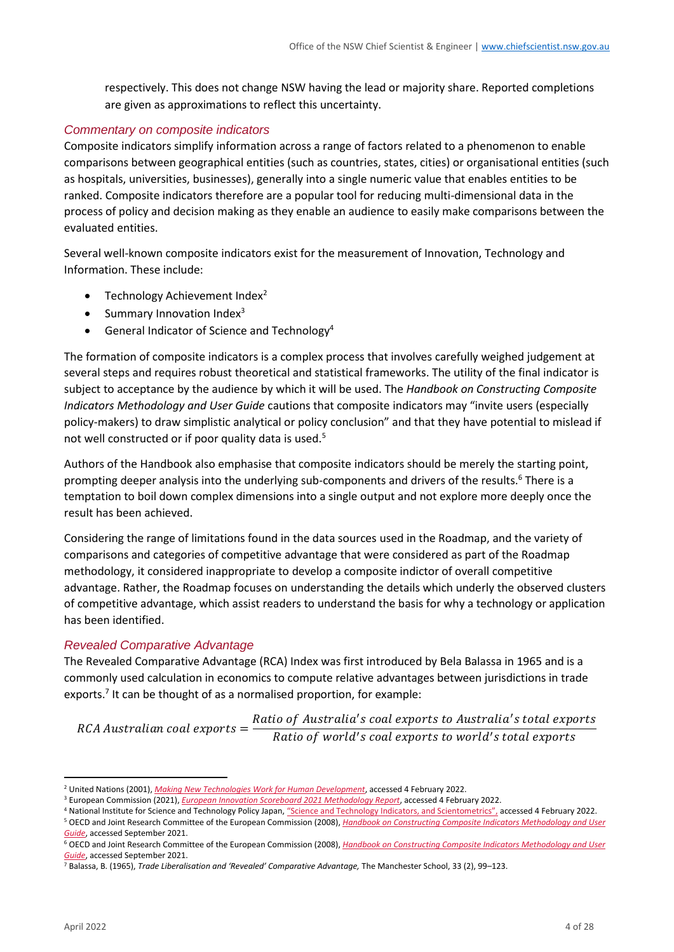respectively. This does not change NSW having the lead or majority share. Reported completions are given as approximations to reflect this uncertainty.

#### *Commentary on composite indicators*

Composite indicators simplify information across a range of factors related to a phenomenon to enable comparisons between geographical entities (such as countries, states, cities) or organisational entities (such as hospitals, universities, businesses), generally into a single numeric value that enables entities to be ranked. Composite indicators therefore are a popular tool for reducing multi-dimensional data in the process of policy and decision making as they enable an audience to easily make comparisons between the evaluated entities.

Several well-known composite indicators exist for the measurement of Innovation, Technology and Information. These include:

- Technology Achievement Index $2$
- Summary Innovation Index $3$
- General Indicator of Science and Technology<sup>4</sup>

The formation of composite indicators is a complex process that involves carefully weighed judgement at several steps and requires robust theoretical and statistical frameworks. The utility of the final indicator is subject to acceptance by the audience by which it will be used. The *Handbook on Constructing Composite Indicators Methodology and User Guide* cautions that composite indicators may "invite users (especially policy-makers) to draw simplistic analytical or policy conclusion" and that they have potential to mislead if not well constructed or if poor quality data is used.<sup>5</sup>

Authors of the Handbook also emphasise that composite indicators should be merely the starting point, prompting deeper analysis into the underlying sub-components and drivers of the results.<sup>6</sup> There is a temptation to boil down complex dimensions into a single output and not explore more deeply once the result has been achieved.

Considering the range of limitations found in the data sources used in the Roadmap, and the variety of comparisons and categories of competitive advantage that were considered as part of the Roadmap methodology, it considered inappropriate to develop a composite indictor of overall competitive advantage. Rather, the Roadmap focuses on understanding the details which underly the observed clusters of competitive advantage, which assist readers to understand the basis for why a technology or application has been identified.

#### *Revealed Comparative Advantage*

The Revealed Comparative Advantage (RCA) Index was first introduced by Bela Balassa in 1965 and is a commonly used calculation in economics to compute relative advantages between jurisdictions in trade exports.<sup>7</sup> It can be thought of as a normalised proportion, for example:

 $RCA$  Australian coal exports  $=$ Ratio of Australia's coal exports to Australia's total exports Ratio of world's coal exports to world's total exports

<sup>2</sup> United Nations (2001), *[Making New Technologies Work for Human Development](http://hdr.undp.org/sites/default/files/reports/262/hdr_2001_en.pdf)*, accessed 4 February 2022.

<sup>3</sup> European Commission (2021), *[European Innovation Scoreboard 2021 Methodology Report](https://ec.europa.eu/info/research-and-innovation/statistics/performance-indicators/european-innovation-scoreboard_en)*, accessed 4 February 2022.

<sup>&</sup>lt;sup>4</sup> National Institute for Science and Technology Policy Japan, ["Science and Technology Indicators, and Scientometrics",](https://www.nistep.go.jp/en/?page_id=52) accessed 4 February 2022. <sup>5</sup> OECD and Joint Research Committee of the European Commission (2008), *[Handbook on Constructing Composite Indicators Methodology and User](https://www.oecd.org/els/soc/handbookonconstructingcompositeindicatorsmethodologyanduserguide.htm)* 

*[Guide](https://www.oecd.org/els/soc/handbookonconstructingcompositeindicatorsmethodologyanduserguide.htm)*, accessed September 2021.

<sup>6</sup> OECD and Joint Research Committee of the European Commission (2008), *[Handbook on Constructing Composite Indicators Methodology and User](https://www.oecd.org/els/soc/handbookonconstructingcompositeindicatorsmethodologyanduserguide.htm)  [Guide](https://www.oecd.org/els/soc/handbookonconstructingcompositeindicatorsmethodologyanduserguide.htm)*, accessed September 2021.

<sup>7</sup> Balassa, B. (1965), *Trade Liberalisation and 'Revealed' Comparative Advantage,* The Manchester School, 33 (2), 99–123.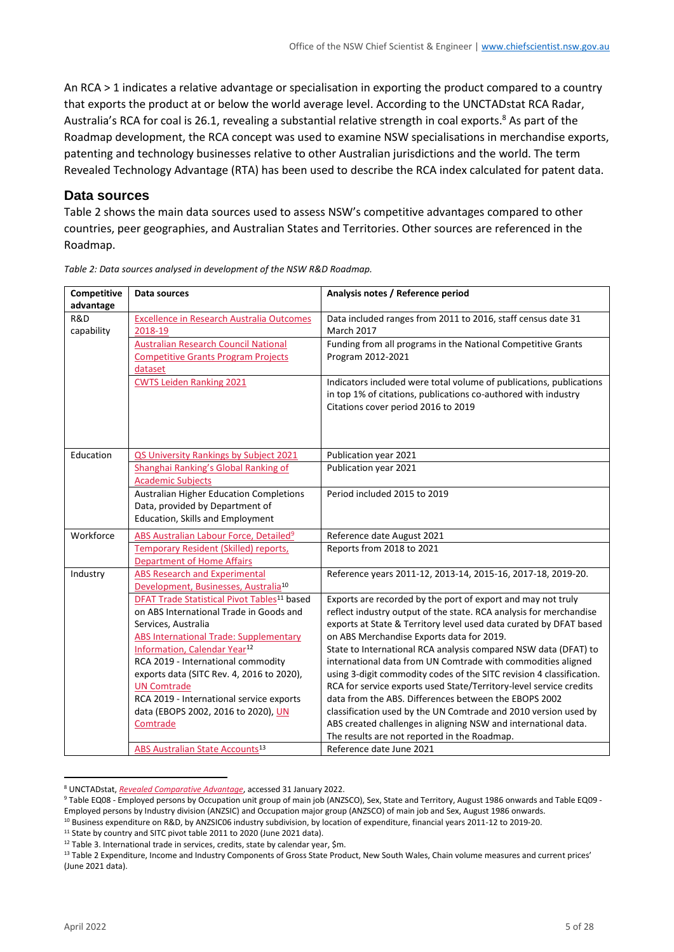An RCA > 1 indicates a relative advantage or specialisation in exporting the product compared to a country that exports the product at or below the world average level. According to the UNCTADstat RCA Radar, Australia's RCA for coal is 26.1, revealing a substantial relative strength in coal exports.<sup>8</sup> As part of the Roadmap development, the RCA concept was used to examine NSW specialisations in merchandise exports, patenting and technology businesses relative to other Australian jurisdictions and the world. The term Revealed Technology Advantage (RTA) has been used to describe the RCA index calculated for patent data.

#### **Data sources**

[Table 2](#page-4-0) shows the main data sources used to assess NSW's competitive advantages compared to other countries, peer geographies, and Australian States and Territories. Other sources are referenced in the Roadmap.

| Competitive                    | Data sources                                                                                                                                                                                                                                                                                                                                                                                                                   | Analysis notes / Reference period                                                                                                                                                                                                                                                                                                                                                                                                                                                                                                                                                                                                                                                                                                                                                    |
|--------------------------------|--------------------------------------------------------------------------------------------------------------------------------------------------------------------------------------------------------------------------------------------------------------------------------------------------------------------------------------------------------------------------------------------------------------------------------|--------------------------------------------------------------------------------------------------------------------------------------------------------------------------------------------------------------------------------------------------------------------------------------------------------------------------------------------------------------------------------------------------------------------------------------------------------------------------------------------------------------------------------------------------------------------------------------------------------------------------------------------------------------------------------------------------------------------------------------------------------------------------------------|
| advantage<br>R&D<br>capability | <b>Excellence in Research Australia Outcomes</b><br>2018-19                                                                                                                                                                                                                                                                                                                                                                    | Data included ranges from 2011 to 2016, staff census date 31<br><b>March 2017</b>                                                                                                                                                                                                                                                                                                                                                                                                                                                                                                                                                                                                                                                                                                    |
|                                | <b>Australian Research Council National</b><br><b>Competitive Grants Program Projects</b><br>dataset                                                                                                                                                                                                                                                                                                                           | Funding from all programs in the National Competitive Grants<br>Program 2012-2021                                                                                                                                                                                                                                                                                                                                                                                                                                                                                                                                                                                                                                                                                                    |
|                                | <b>CWTS Leiden Ranking 2021</b>                                                                                                                                                                                                                                                                                                                                                                                                | Indicators included were total volume of publications, publications<br>in top 1% of citations, publications co-authored with industry<br>Citations cover period 2016 to 2019                                                                                                                                                                                                                                                                                                                                                                                                                                                                                                                                                                                                         |
| Education                      | QS University Rankings by Subject 2021                                                                                                                                                                                                                                                                                                                                                                                         | Publication year 2021                                                                                                                                                                                                                                                                                                                                                                                                                                                                                                                                                                                                                                                                                                                                                                |
|                                | Shanghai Ranking's Global Ranking of<br><b>Academic Subjects</b>                                                                                                                                                                                                                                                                                                                                                               | Publication year 2021                                                                                                                                                                                                                                                                                                                                                                                                                                                                                                                                                                                                                                                                                                                                                                |
|                                | <b>Australian Higher Education Completions</b><br>Data, provided by Department of<br>Education, Skills and Employment                                                                                                                                                                                                                                                                                                          | Period included 2015 to 2019                                                                                                                                                                                                                                                                                                                                                                                                                                                                                                                                                                                                                                                                                                                                                         |
| Workforce                      | ABS Australian Labour Force, Detailed <sup>9</sup>                                                                                                                                                                                                                                                                                                                                                                             | Reference date August 2021                                                                                                                                                                                                                                                                                                                                                                                                                                                                                                                                                                                                                                                                                                                                                           |
|                                | <b>Temporary Resident (Skilled) reports,</b><br><b>Department of Home Affairs</b>                                                                                                                                                                                                                                                                                                                                              | Reports from 2018 to 2021                                                                                                                                                                                                                                                                                                                                                                                                                                                                                                                                                                                                                                                                                                                                                            |
| Industry                       | <b>ABS Research and Experimental</b><br>Development, Businesses, Australia <sup>10</sup>                                                                                                                                                                                                                                                                                                                                       | Reference years 2011-12, 2013-14, 2015-16, 2017-18, 2019-20.                                                                                                                                                                                                                                                                                                                                                                                                                                                                                                                                                                                                                                                                                                                         |
|                                | DFAT Trade Statistical Pivot Tables <sup>11</sup> based<br>on ABS International Trade in Goods and<br>Services, Australia<br><b>ABS International Trade: Supplementary</b><br>Information, Calendar Year <sup>12</sup><br>RCA 2019 - International commodity<br>exports data (SITC Rev. 4, 2016 to 2020),<br><b>UN Comtrade</b><br>RCA 2019 - International service exports<br>data (EBOPS 2002, 2016 to 2020), UN<br>Comtrade | Exports are recorded by the port of export and may not truly<br>reflect industry output of the state. RCA analysis for merchandise<br>exports at State & Territory level used data curated by DFAT based<br>on ABS Merchandise Exports data for 2019.<br>State to International RCA analysis compared NSW data (DFAT) to<br>international data from UN Comtrade with commodities aligned<br>using 3-digit commodity codes of the SITC revision 4 classification.<br>RCA for service exports used State/Territory-level service credits<br>data from the ABS. Differences between the EBOPS 2002<br>classification used by the UN Comtrade and 2010 version used by<br>ABS created challenges in aligning NSW and international data.<br>The results are not reported in the Roadmap. |
|                                | ABS Australian State Accounts <sup>13</sup>                                                                                                                                                                                                                                                                                                                                                                                    | Reference date June 2021                                                                                                                                                                                                                                                                                                                                                                                                                                                                                                                                                                                                                                                                                                                                                             |

<span id="page-4-0"></span>*Table 2: Data sources analysed in development of the NSW R&D Roadmap.*

<sup>10</sup> Business expenditure on R&D, by ANZSIC06 industry subdivision, by location of expenditure, financial years 2011-12 to 2019-20.

<sup>11</sup> State by country and SITC pivot table 2011 to 2020 (June 2021 data).

<sup>8</sup> UNCTADstat, *[Revealed Comparative Advantage](https://unctadstat.unctad.org/en/RcaRadar.html)*, accessed 31 January 2022.

<sup>9</sup> Table EQ08 - Employed persons by Occupation unit group of main job (ANZSCO), Sex, State and Territory, August 1986 onwards and Table EQ09 - Employed persons by Industry division (ANZSIC) and Occupation major group (ANZSCO) of main job and Sex, August 1986 onwards.

<sup>&</sup>lt;sup>12</sup> Table 3. International trade in services, credits, state by calendar year, \$m.

<sup>&</sup>lt;sup>13</sup> Table 2 Expenditure, Income and Industry Components of Gross State Product, New South Wales, Chain volume measures and current prices' (June 2021 data).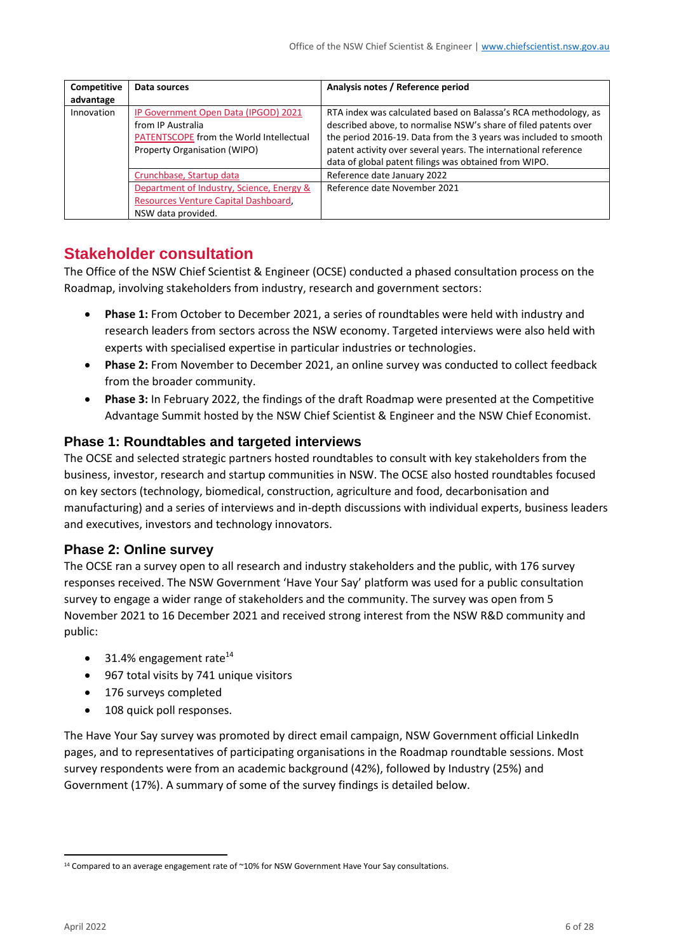| <b>Competitive</b><br>advantage | Data sources                                                                                                                         | Analysis notes / Reference period                                                                                                                                                                                                                                                                                                  |
|---------------------------------|--------------------------------------------------------------------------------------------------------------------------------------|------------------------------------------------------------------------------------------------------------------------------------------------------------------------------------------------------------------------------------------------------------------------------------------------------------------------------------|
| Innovation                      | IP Government Open Data (IPGOD) 2021<br>from IP Australia<br>PATENTSCOPE from the World Intellectual<br>Property Organisation (WIPO) | RTA index was calculated based on Balassa's RCA methodology, as<br>described above, to normalise NSW's share of filed patents over<br>the period 2016-19. Data from the 3 years was included to smooth<br>patent activity over several years. The international reference<br>data of global patent filings was obtained from WIPO. |
|                                 | Crunchbase, Startup data                                                                                                             | Reference date January 2022                                                                                                                                                                                                                                                                                                        |
|                                 | Department of Industry, Science, Energy &<br>Resources Venture Capital Dashboard,<br>NSW data provided.                              | Reference date November 2021                                                                                                                                                                                                                                                                                                       |

# **Stakeholder consultation**

The Office of the NSW Chief Scientist & Engineer (OCSE) conducted a phased consultation process on the Roadmap, involving stakeholders from industry, research and government sectors:

- **Phase 1:** From October to December 2021, a series of roundtables were held with industry and research leaders from sectors across the NSW economy. Targeted interviews were also held with experts with specialised expertise in particular industries or technologies.
- **Phase 2:** From November to December 2021, an online survey was conducted to collect feedback from the broader community.
- **Phase 3:** In February 2022, the findings of the draft Roadmap were presented at the Competitive Advantage Summit hosted by the NSW Chief Scientist & Engineer and the NSW Chief Economist.

# **Phase 1: Roundtables and targeted interviews**

The OCSE and selected strategic partners hosted roundtables to consult with key stakeholders from the business, investor, research and startup communities in NSW. The OCSE also hosted roundtables focused on key sectors (technology, biomedical, construction, agriculture and food, decarbonisation and manufacturing) and a series of interviews and in-depth discussions with individual experts, business leaders and executives, investors and technology innovators.

## **Phase 2: Online survey**

The OCSE ran a survey open to all research and industry stakeholders and the public, with 176 survey responses received. The NSW Government 'Have Your Say' platform was used for a public consultation survey to engage a wider range of stakeholders and the community. The survey was open from 5 November 2021 to 16 December 2021 and received strong interest from the NSW R&D community and public:

- 31.4% engagement rate<sup>14</sup>
- 967 total visits by 741 unique visitors
- 176 surveys completed
- 108 quick poll responses.

The Have Your Say survey was promoted by direct email campaign, NSW Government official LinkedIn pages, and to representatives of participating organisations in the Roadmap roundtable sessions. Most survey respondents were from an academic background (42%), followed by Industry (25%) and Government (17%). A summary of some of the survey findings is detailed below.

<sup>&</sup>lt;sup>14</sup> Compared to an average engagement rate of ~10% for NSW Government Have Your Say consultations.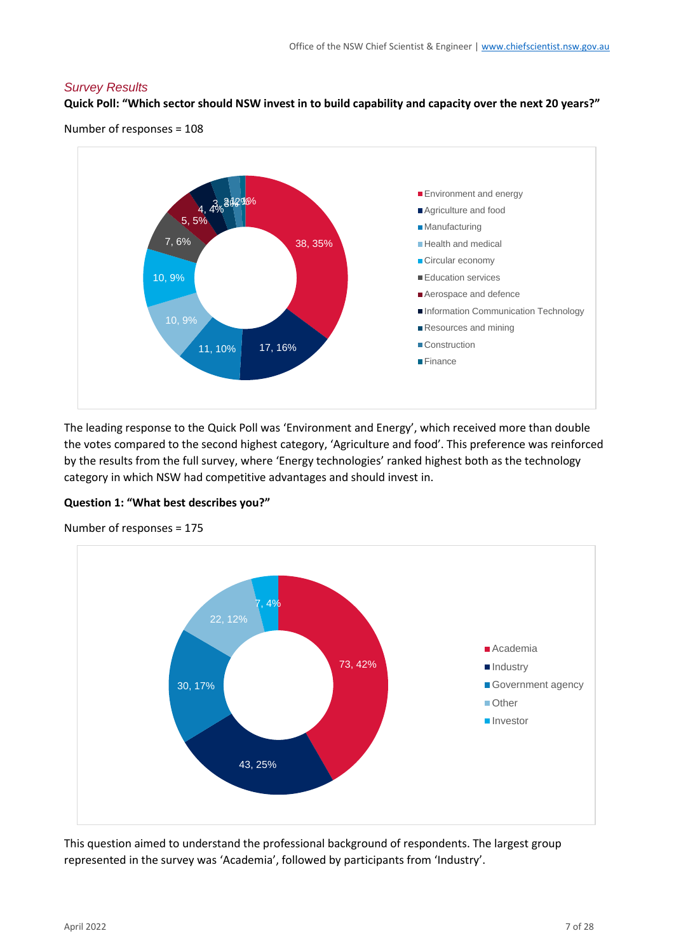#### *Survey Results*

#### **Quick Poll: "Which sector should NSW invest in to build capability and capacity over the next 20 years?"**

Number of responses = 108



The leading response to the Quick Poll was 'Environment and Energy', which received more than double the votes compared to the second highest category, 'Agriculture and food'. This preference was reinforced by the results from the full survey, where 'Energy technologies' ranked highest both as the technology category in which NSW had competitive advantages and should invest in.





Number of responses = 175

This question aimed to understand the professional background of respondents. The largest group represented in the survey was 'Academia', followed by participants from 'Industry'.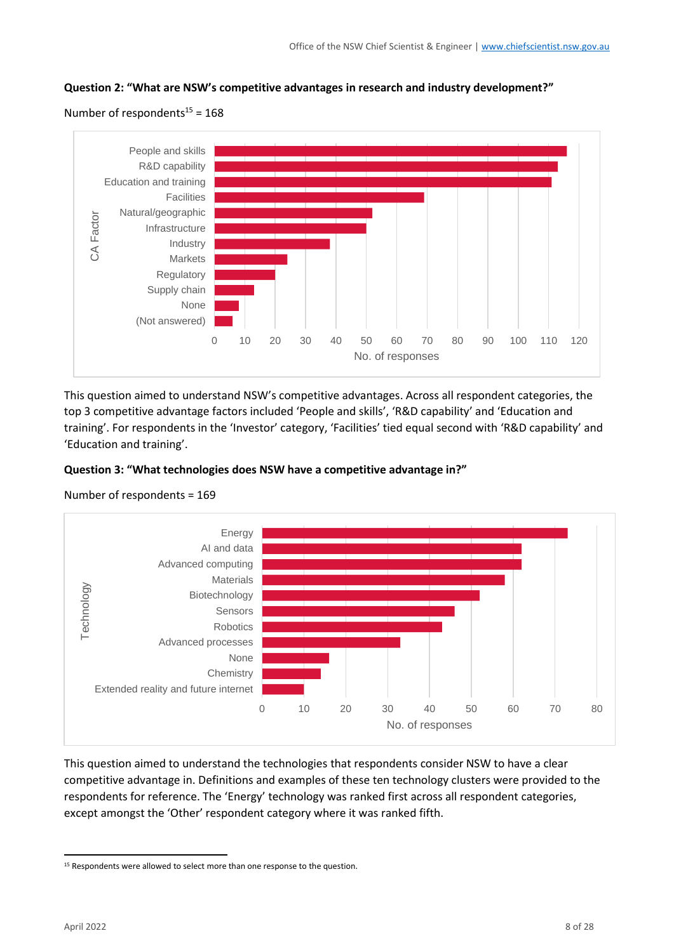





This question aimed to understand NSW's competitive advantages. Across all respondent categories, the top 3 competitive advantage factors included 'People and skills', 'R&D capability' and 'Education and training'. For respondents in the 'Investor' category, 'Facilities' tied equal second with 'R&D capability' and 'Education and training'.

#### **Question 3: "What technologies does NSW have a competitive advantage in?"**



Number of respondents = 169

This question aimed to understand the technologies that respondents consider NSW to have a clear competitive advantage in. Definitions and examples of these ten technology clusters were provided to the respondents for reference. The 'Energy' technology was ranked first across all respondent categories, except amongst the 'Other' respondent category where it was ranked fifth.

<sup>&</sup>lt;sup>15</sup> Respondents were allowed to select more than one response to the question.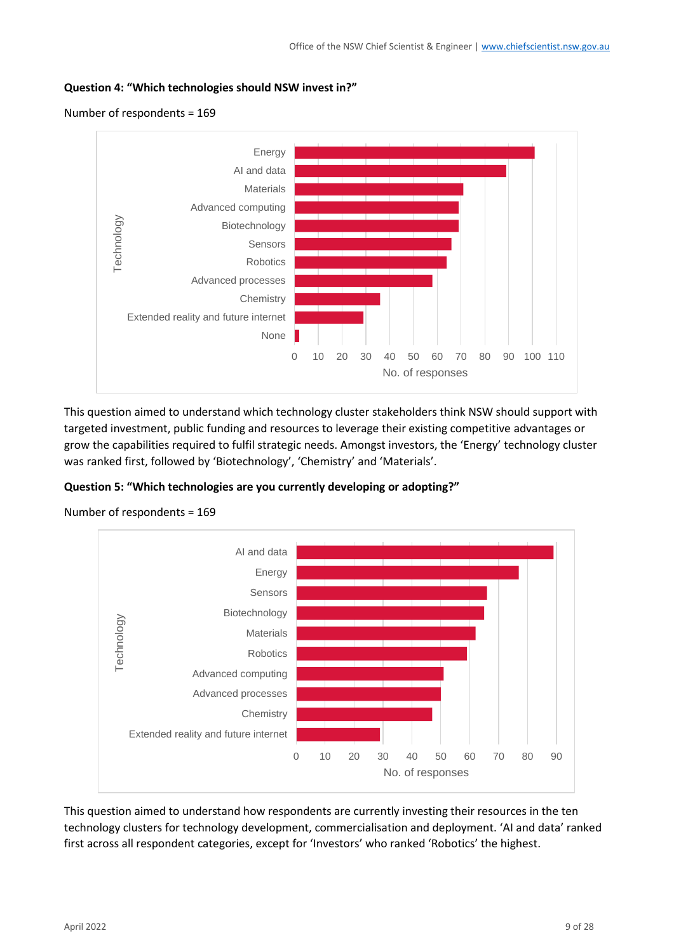#### **Question 4: "Which technologies should NSW invest in?"**

Number of respondents = 169



This question aimed to understand which technology cluster stakeholders think NSW should support with targeted investment, public funding and resources to leverage their existing competitive advantages or grow the capabilities required to fulfil strategic needs. Amongst investors, the 'Energy' technology cluster was ranked first, followed by 'Biotechnology', 'Chemistry' and 'Materials'.

#### **Question 5: "Which technologies are you currently developing or adopting?"**



Number of respondents = 169

This question aimed to understand how respondents are currently investing their resources in the ten technology clusters for technology development, commercialisation and deployment. 'AI and data' ranked first across all respondent categories, except for 'Investors' who ranked 'Robotics' the highest.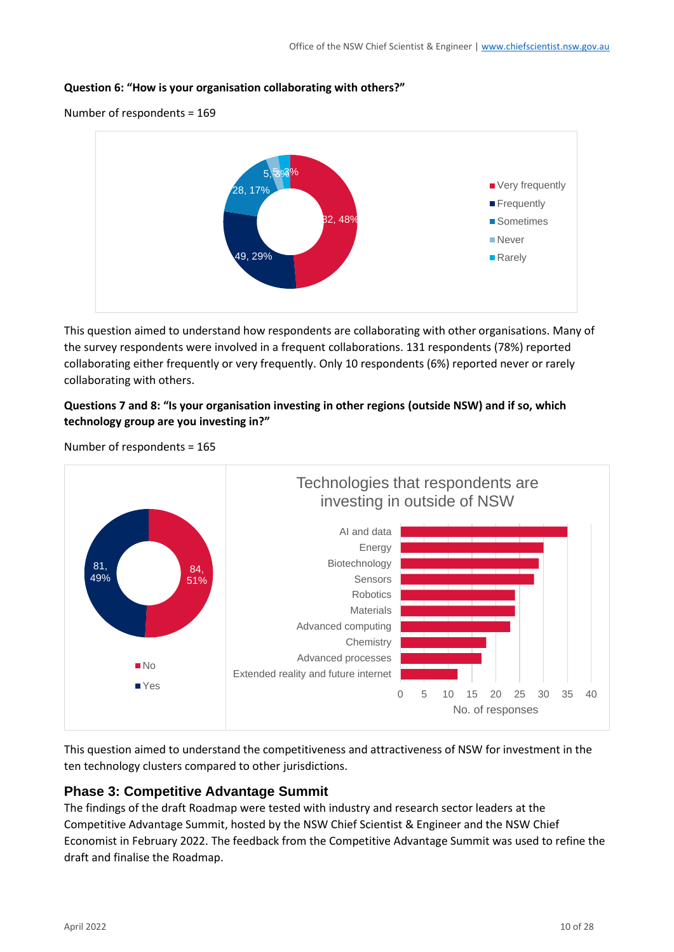#### **Question 6: "How is your organisation collaborating with others?"**

Number of respondents = 169



This question aimed to understand how respondents are collaborating with other organisations. Many of the survey respondents were involved in a frequent collaborations. 131 respondents (78%) reported collaborating either frequently or very frequently. Only 10 respondents (6%) reported never or rarely collaborating with others.

### **Questions 7 and 8: "Is your organisation investing in other regions (outside NSW) and if so, which technology group are you investing in?"**



Number of respondents = 165

This question aimed to understand the competitiveness and attractiveness of NSW for investment in the ten technology clusters compared to other jurisdictions.

## **Phase 3: Competitive Advantage Summit**

The findings of the draft Roadmap were tested with industry and research sector leaders at the Competitive Advantage Summit, hosted by the NSW Chief Scientist & Engineer and the NSW Chief Economist in February 2022. The feedback from the Competitive Advantage Summit was used to refine the draft and finalise the Roadmap.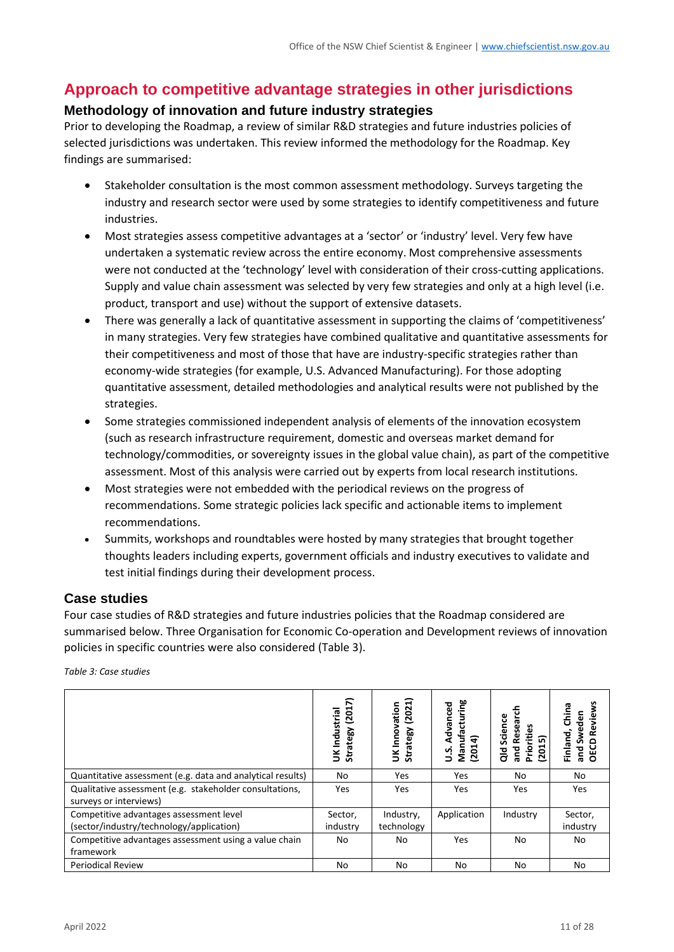# **Approach to competitive advantage strategies in other jurisdictions**

# **Methodology of innovation and future industry strategies**

Prior to developing the Roadmap, a review of similar R&D strategies and future industries policies of selected jurisdictions was undertaken. This review informed the methodology for the Roadmap. Key findings are summarised:

- Stakeholder consultation is the most common assessment methodology. Surveys targeting the industry and research sector were used by some strategies to identify competitiveness and future industries.
- Most strategies assess competitive advantages at a 'sector' or 'industry' level. Very few have undertaken a systematic review across the entire economy. Most comprehensive assessments were not conducted at the 'technology' level with consideration of their cross-cutting applications. Supply and value chain assessment was selected by very few strategies and only at a high level (i.e. product, transport and use) without the support of extensive datasets.
- There was generally a lack of quantitative assessment in supporting the claims of 'competitiveness' in many strategies. Very few strategies have combined qualitative and quantitative assessments for their competitiveness and most of those that have are industry-specific strategies rather than economy-wide strategies (for example, U.S. Advanced Manufacturing). For those adopting quantitative assessment, detailed methodologies and analytical results were not published by the strategies.
- Some strategies commissioned independent analysis of elements of the innovation ecosystem (such as research infrastructure requirement, domestic and overseas market demand for technology/commodities, or sovereignty issues in the global value chain), as part of the competitive assessment. Most of this analysis were carried out by experts from local research institutions.
- Most strategies were not embedded with the periodical reviews on the progress of recommendations. Some strategic policies lack specific and actionable items to implement recommendations.
- Summits, workshops and roundtables were hosted by many strategies that brought together thoughts leaders including experts, government officials and industry executives to validate and test initial findings during their development process.

## **Case studies**

Four case studies of R&D strategies and future industries policies that the Roadmap considered are summarised below. Three Organisation for Economic Co-operation and Development reviews of innovation policies in specific countries were also considered [\(Table 3\)](#page-10-0).

| UDIE 5. CUSE SLUUIES                                                                |                                     |                                     |                                                   |                                                              |                                                         |
|-------------------------------------------------------------------------------------|-------------------------------------|-------------------------------------|---------------------------------------------------|--------------------------------------------------------------|---------------------------------------------------------|
|                                                                                     | (2017)<br>UK Industrial<br>Strategy | (2021)<br>UK Innovation<br>Strategy | Manufacturing<br>(2014)<br>Advanced<br>$\ddot{5}$ | Research<br>Science<br>Priorities<br>(2015)<br>and<br>공<br>O | Reviews<br>China<br>Sweden<br>Finland,<br>and S<br>OECD |
| Quantitative assessment (e.g. data and analytical results)                          | No                                  | Yes                                 | Yes                                               | No                                                           | No                                                      |
| Qualitative assessment (e.g. stakeholder consultations,<br>surveys or interviews)   | Yes                                 | Yes                                 | <b>Yes</b>                                        | Yes                                                          | <b>Yes</b>                                              |
| Competitive advantages assessment level<br>(sector/industry/technology/application) | Sector,<br>industry                 | Industry,<br>technology             | Application                                       | Industry                                                     | Sector,<br>industry                                     |
| Competitive advantages assessment using a value chain<br>framework                  | No                                  | No                                  | Yes                                               | No                                                           | No                                                      |
| <b>Periodical Review</b>                                                            | No                                  | No                                  | No                                                | No                                                           | No                                                      |
|                                                                                     |                                     |                                     |                                                   |                                                              |                                                         |

<span id="page-10-0"></span>*Table 3: Case studies*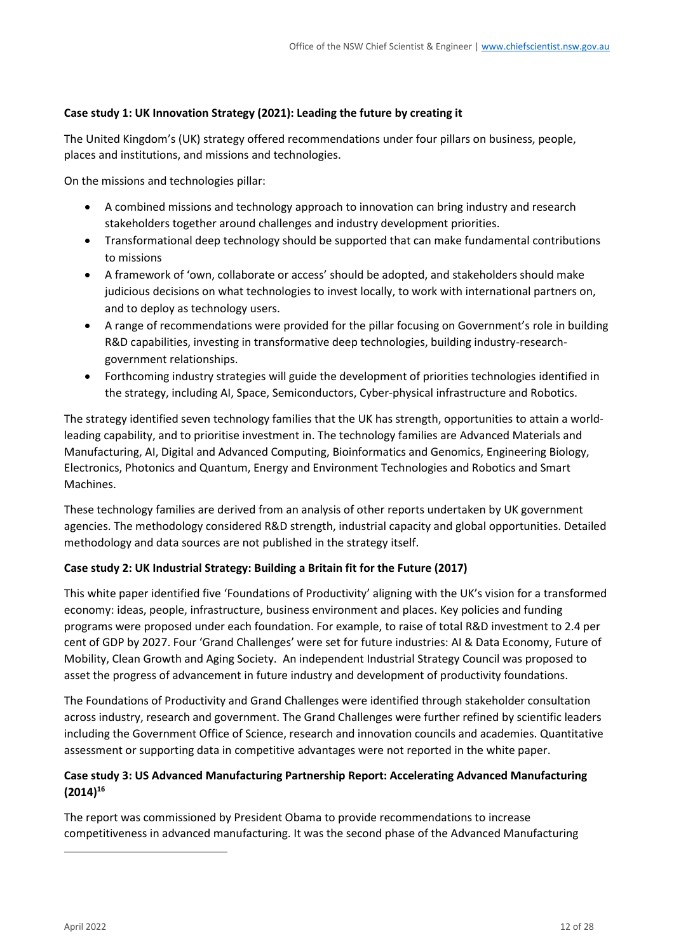#### **Case study 1: UK Innovation Strategy (2021): Leading the future by creating it**

The United Kingdom's (UK) strategy offered recommendations under four pillars on business, people, places and institutions, and missions and technologies.

On the missions and technologies pillar:

- A combined missions and technology approach to innovation can bring industry and research stakeholders together around challenges and industry development priorities.
- Transformational deep technology should be supported that can make fundamental contributions to missions
- A framework of 'own, collaborate or access' should be adopted, and stakeholders should make judicious decisions on what technologies to invest locally, to work with international partners on, and to deploy as technology users.
- A range of recommendations were provided for the pillar focusing on Government's role in building R&D capabilities, investing in transformative deep technologies, building industry-researchgovernment relationships.
- Forthcoming industry strategies will guide the development of priorities technologies identified in the strategy, including AI, Space, Semiconductors, Cyber-physical infrastructure and Robotics.

The strategy identified seven technology families that the UK has strength, opportunities to attain a worldleading capability, and to prioritise investment in. The technology families are Advanced Materials and Manufacturing, AI, Digital and Advanced Computing, Bioinformatics and Genomics, Engineering Biology, Electronics, Photonics and Quantum, Energy and Environment Technologies and Robotics and Smart Machines.

These technology families are derived from an analysis of other reports undertaken by UK government agencies. The methodology considered R&D strength, industrial capacity and global opportunities. Detailed methodology and data sources are not published in the strategy itself.

## **Case study 2: UK Industrial Strategy: Building a Britain fit for the Future (2017)**

This white paper identified five 'Foundations of Productivity' aligning with the UK's vision for a transformed economy: ideas, people, infrastructure, business environment and places. Key policies and funding programs were proposed under each foundation. For example, to raise of total R&D investment to 2.4 per cent of GDP by 2027. Four 'Grand Challenges' were set for future industries: AI & Data Economy, Future of Mobility, Clean Growth and Aging Society. An independent Industrial Strategy Council was proposed to asset the progress of advancement in future industry and development of productivity foundations.

The Foundations of Productivity and Grand Challenges were identified through stakeholder consultation across industry, research and government. The Grand Challenges were further refined by scientific leaders including the Government Office of Science, research and innovation councils and academies. Quantitative assessment or supporting data in competitive advantages were not reported in the white paper.

## **Case study 3: US Advanced Manufacturing Partnership Report: Accelerating Advanced Manufacturing (2014)<sup>16</sup>**

The report was commissioned by President Obama to provide recommendations to increase competitiveness in advanced manufacturing. It was the second phase of the Advanced Manufacturing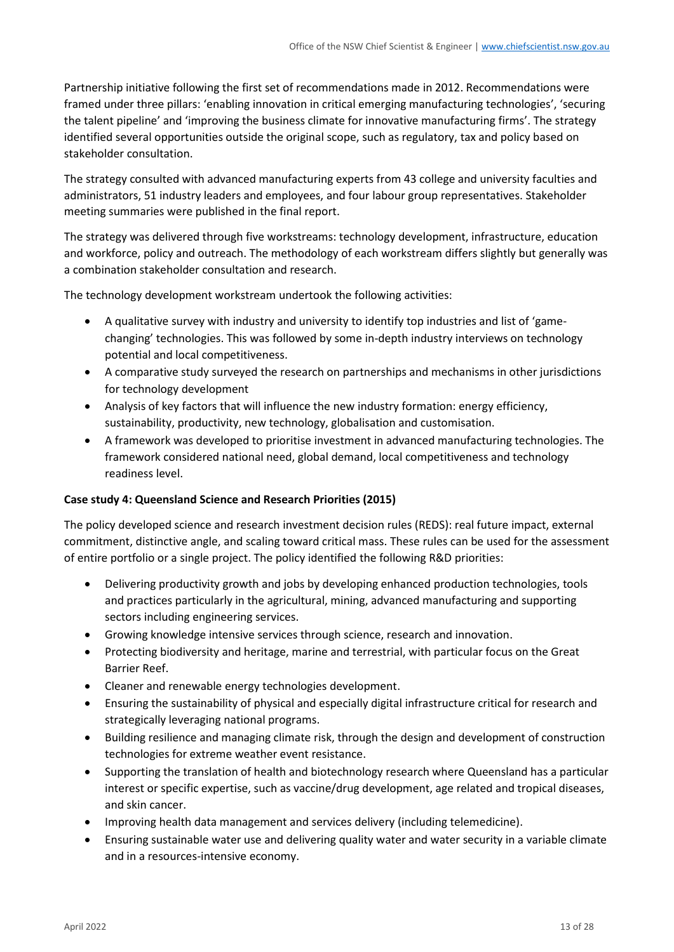Partnership initiative following the first set of recommendations made in 2012. Recommendations were framed under three pillars: 'enabling innovation in critical emerging manufacturing technologies', 'securing the talent pipeline' and 'improving the business climate for innovative manufacturing firms'. The strategy identified several opportunities outside the original scope, such as regulatory, tax and policy based on stakeholder consultation.

The strategy consulted with advanced manufacturing experts from 43 college and university faculties and administrators, 51 industry leaders and employees, and four labour group representatives. Stakeholder meeting summaries were published in the final report.

The strategy was delivered through five workstreams: technology development, infrastructure, education and workforce, policy and outreach. The methodology of each workstream differs slightly but generally was a combination stakeholder consultation and research.

The technology development workstream undertook the following activities:

- A qualitative survey with industry and university to identify top industries and list of 'gamechanging' technologies. This was followed by some in-depth industry interviews on technology potential and local competitiveness.
- A comparative study surveyed the research on partnerships and mechanisms in other jurisdictions for technology development
- Analysis of key factors that will influence the new industry formation: energy efficiency, sustainability, productivity, new technology, globalisation and customisation.
- A framework was developed to prioritise investment in advanced manufacturing technologies. The framework considered national need, global demand, local competitiveness and technology readiness level.

#### **Case study 4: Queensland Science and Research Priorities (2015)**

The policy developed science and research investment decision rules (REDS): real future impact, external commitment, distinctive angle, and scaling toward critical mass. These rules can be used for the assessment of entire portfolio or a single project. The policy identified the following R&D priorities:

- Delivering productivity growth and jobs by developing enhanced production technologies, tools and practices particularly in the agricultural, mining, advanced manufacturing and supporting sectors including engineering services.
- Growing knowledge intensive services through science, research and innovation.
- Protecting biodiversity and heritage, marine and terrestrial, with particular focus on the Great Barrier Reef.
- Cleaner and renewable energy technologies development.
- Ensuring the sustainability of physical and especially digital infrastructure critical for research and strategically leveraging national programs.
- Building resilience and managing climate risk, through the design and development of construction technologies for extreme weather event resistance.
- Supporting the translation of health and biotechnology research where Queensland has a particular interest or specific expertise, such as vaccine/drug development, age related and tropical diseases, and skin cancer.
- Improving health data management and services delivery (including telemedicine).
- Ensuring sustainable water use and delivering quality water and water security in a variable climate and in a resources-intensive economy.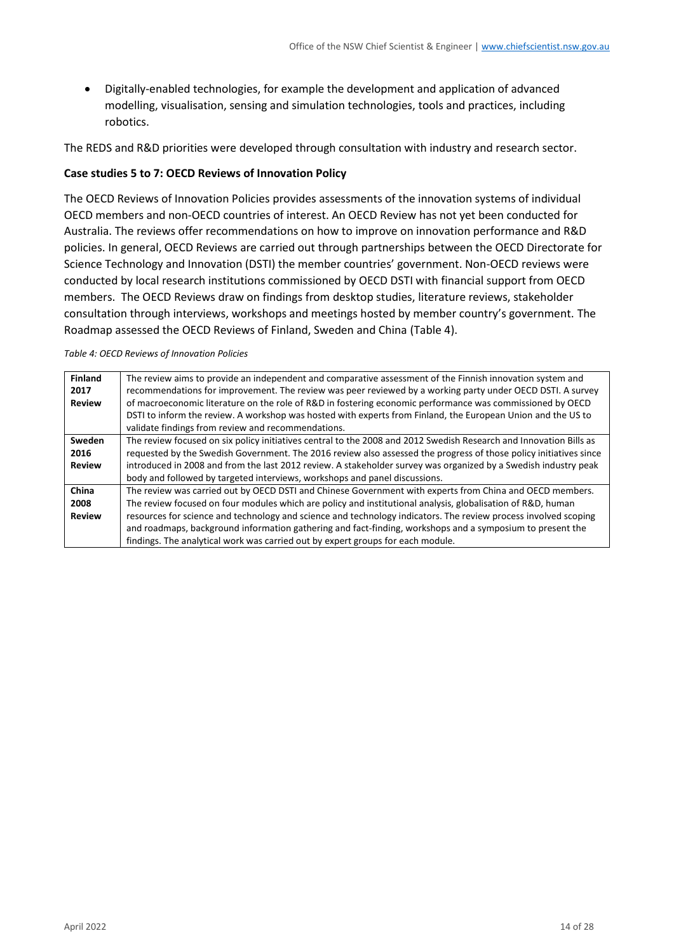• Digitally-enabled technologies, for example the development and application of advanced modelling, visualisation, sensing and simulation technologies, tools and practices, including robotics.

The REDS and R&D priorities were developed through consultation with industry and research sector.

#### **Case studies 5 to 7: OECD Reviews of Innovation Policy**

The OECD Reviews of Innovation Policies provides assessments of the innovation systems of individual OECD members and non-OECD countries of interest. An OECD Review has not yet been conducted for Australia. The reviews offer recommendations on how to improve on innovation performance and R&D policies. In general, OECD Reviews are carried out through partnerships between the OECD Directorate for Science Technology and Innovation (DSTI) the member countries' government. Non-OECD reviews were conducted by local research institutions commissioned by OECD DSTI with financial support from OECD members. The OECD Reviews draw on findings from desktop studies, literature reviews, stakeholder consultation through interviews, workshops and meetings hosted by member country's government. The Roadmap assessed the OECD Reviews of Finland, Sweden and China [\(Table 4\)](#page-13-0).

#### <span id="page-13-0"></span>*Table 4: OECD Reviews of Innovation Policies*

| <b>Finland</b><br>2017 | The review aims to provide an independent and comparative assessment of the Finnish innovation system and<br>recommendations for improvement. The review was peer reviewed by a working party under OECD DSTI. A survey |
|------------------------|-------------------------------------------------------------------------------------------------------------------------------------------------------------------------------------------------------------------------|
| <b>Review</b>          | of macroeconomic literature on the role of R&D in fostering economic performance was commissioned by OECD                                                                                                               |
|                        | DSTI to inform the review. A workshop was hosted with experts from Finland, the European Union and the US to<br>validate findings from review and recommendations.                                                      |
|                        |                                                                                                                                                                                                                         |
| Sweden                 | The review focused on six policy initiatives central to the 2008 and 2012 Swedish Research and Innovation Bills as                                                                                                      |
| 2016                   | requested by the Swedish Government. The 2016 review also assessed the progress of those policy initiatives since                                                                                                       |
| <b>Review</b>          | introduced in 2008 and from the last 2012 review. A stakeholder survey was organized by a Swedish industry peak                                                                                                         |
|                        | body and followed by targeted interviews, workshops and panel discussions.                                                                                                                                              |
| China                  | The review was carried out by OECD DSTI and Chinese Government with experts from China and OECD members.                                                                                                                |
| 2008                   | The review focused on four modules which are policy and institutional analysis, globalisation of R&D, human                                                                                                             |
| <b>Review</b>          | resources for science and technology and science and technology indicators. The review process involved scoping                                                                                                         |
|                        | and roadmaps, background information gathering and fact-finding, workshops and a symposium to present the                                                                                                               |
|                        | findings. The analytical work was carried out by expert groups for each module.                                                                                                                                         |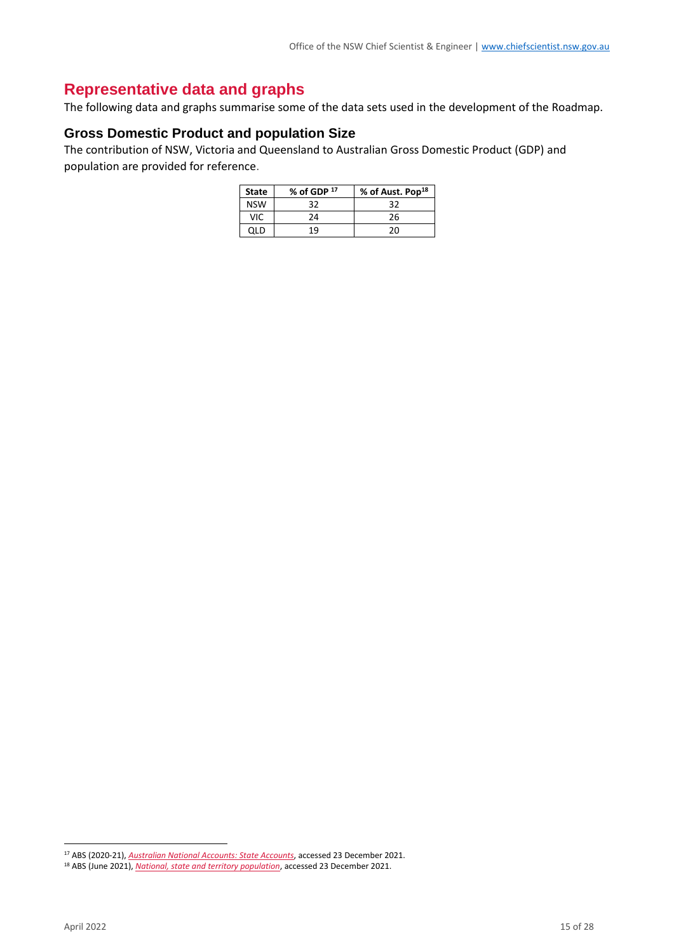# **Representative data and graphs**

The following data and graphs summarise some of the data sets used in the development of the Roadmap.

#### **Gross Domestic Product and population Size**

The contribution of NSW, Victoria and Queensland to Australian Gross Domestic Product (GDP) and population are provided for reference.

| <b>State</b> | % of GDP 17 | % of Aust. Pop <sup>18</sup> |
|--------------|-------------|------------------------------|
| <b>NSW</b>   | 32          | 32                           |
| VIC.         | 24          | 26                           |
| 0I D         | 19          | 20                           |

<sup>17</sup> ABS (2020-21), *[Australian National Accounts: State Accounts](https://www.abs.gov.au/statistics/economy/national-accounts/australian-national-accounts-state-accounts/latest-release)*, accessed 23 December 2021.

<sup>18</sup> ABS (June 2021), *[National, state and territory population](abs.gov.au/statistics/people/population/national-state-and-territory-population/latest-release)*, accessed 23 December 2021.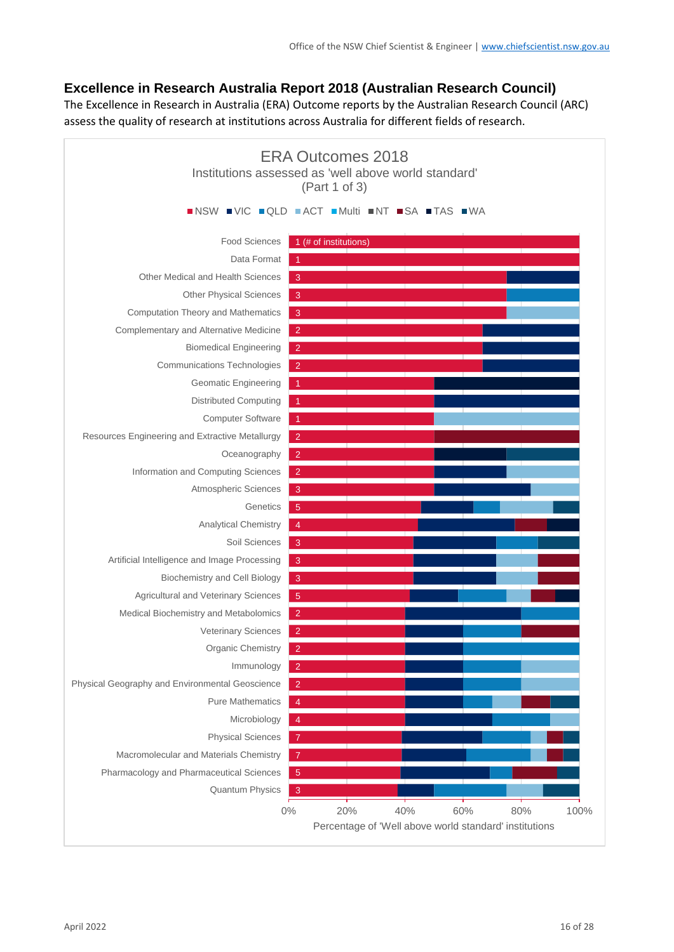# **Excellence in Research Australia Report 2018 (Australian Research Council)**

The Excellence in Research in Australia (ERA) Outcome reports by the Australian Research Council (ARC) assess the quality of research at institutions across Australia for different fields of research.

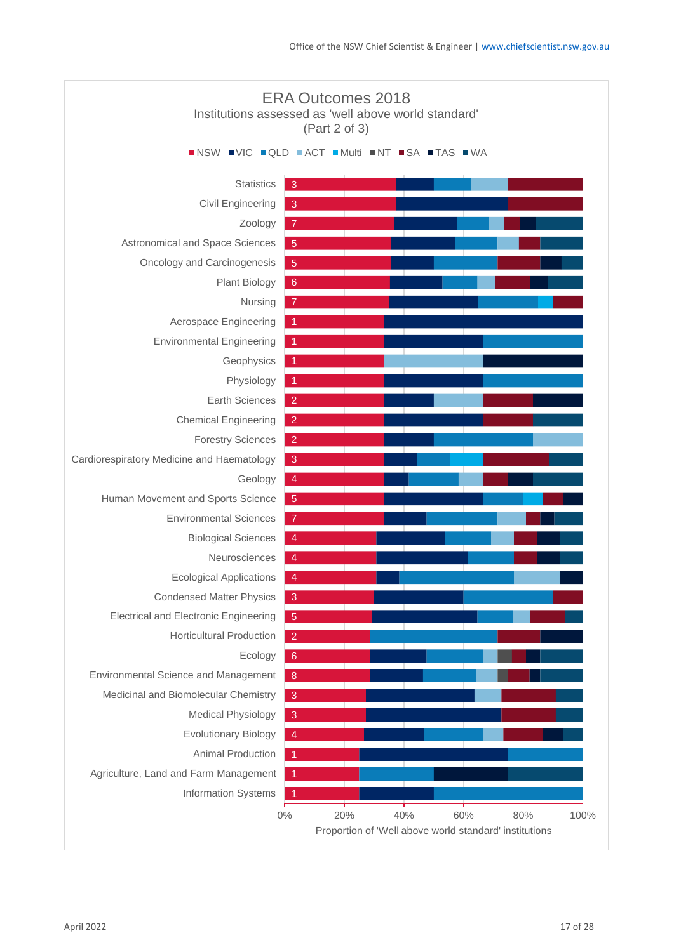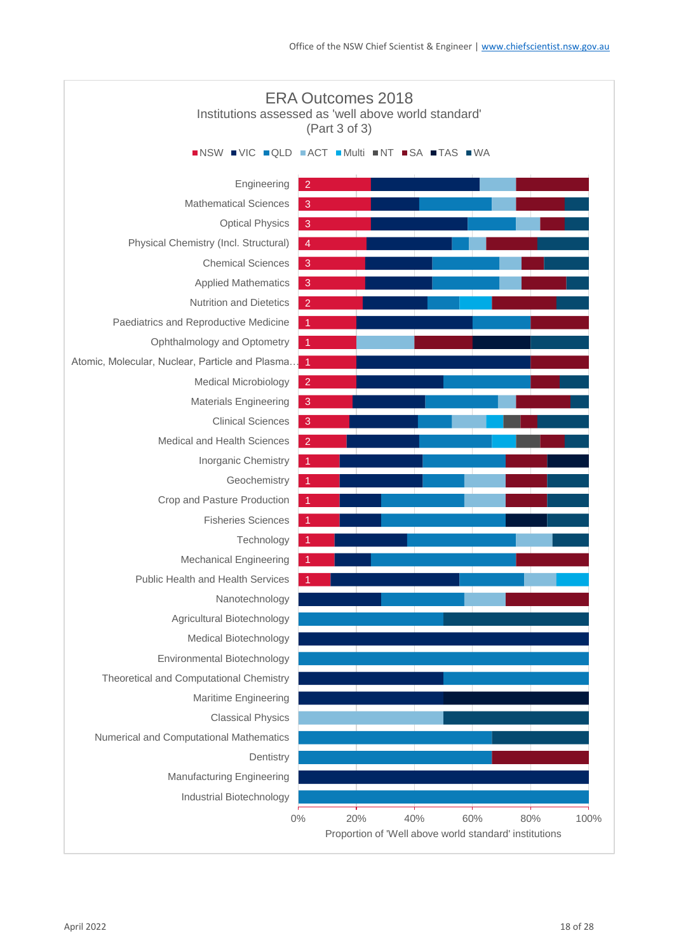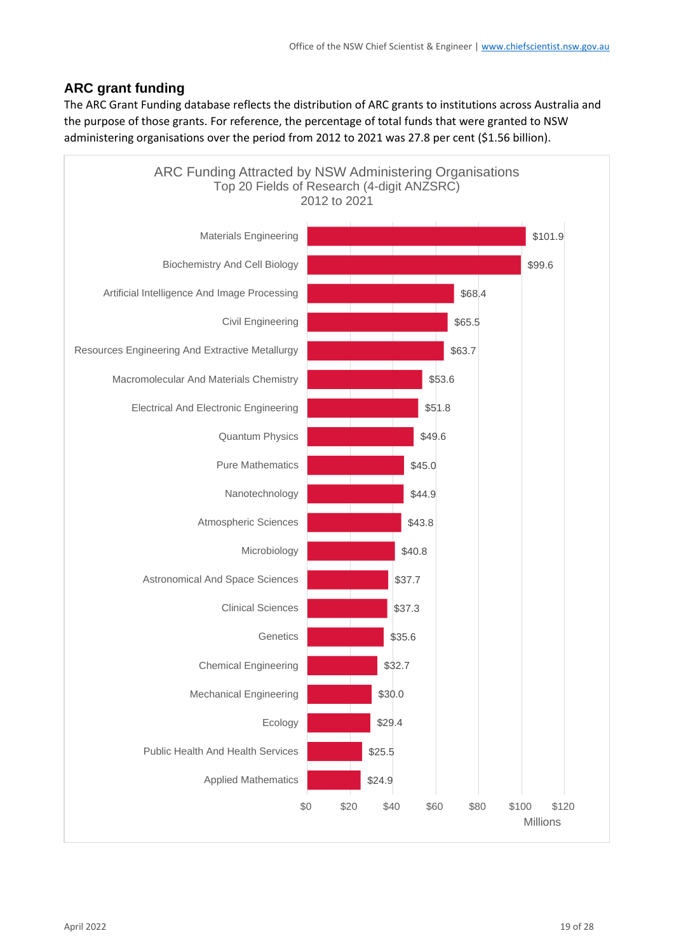# **ARC grant funding**

The ARC Grant Funding database reflects the distribution of ARC grants to institutions across Australia and the purpose of those grants. For reference, the percentage of total funds that were granted to NSW administering organisations over the period from 2012 to 2021 was 27.8 per cent (\$1.56 billion).

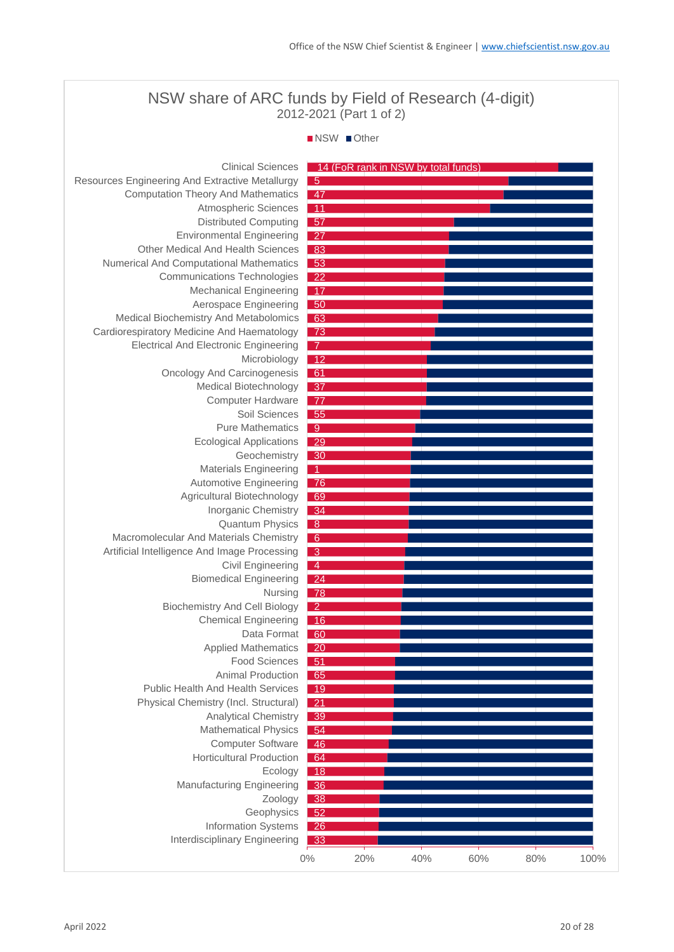# NSW share of ARC funds by Field of Research (4-digit) 2012-2021 (Part 1 of 2)

#### NSW Other

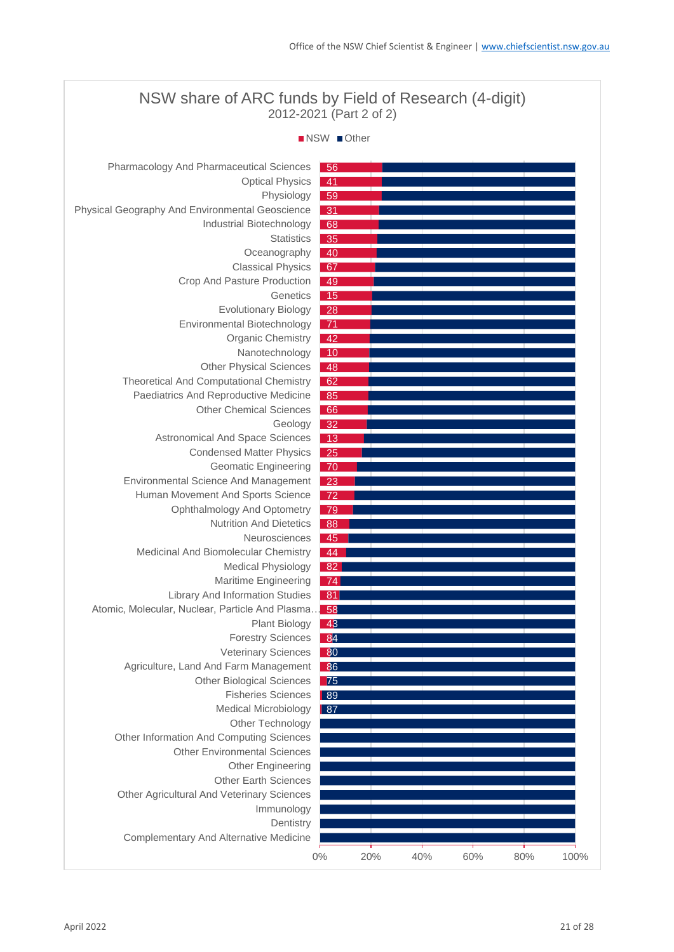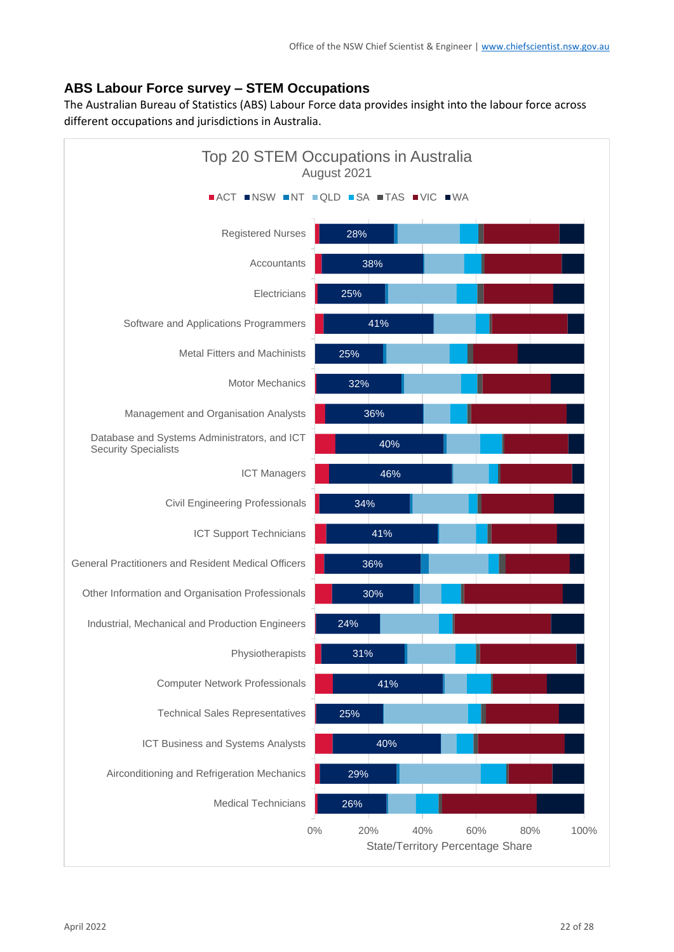# **ABS Labour Force survey – STEM Occupations**

The Australian Bureau of Statistics (ABS) Labour Force data provides insight into the labour force across different occupations and jurisdictions in Australia.

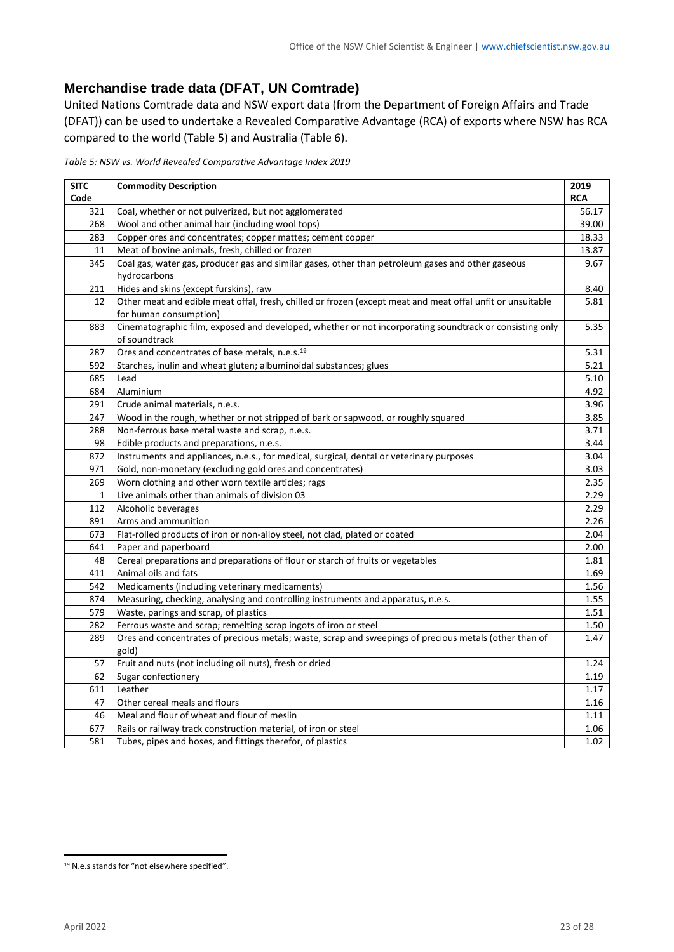# **Merchandise trade data (DFAT, UN Comtrade)**

United Nations Comtrade data and NSW export data (from the Department of Foreign Affairs and Trade (DFAT)) can be used to undertake a Revealed Comparative Advantage (RCA) of exports where NSW has RCA compared to the world [\(Table 5\)](#page-22-0) and Australia [\(Table 6\)](#page-23-0).

<span id="page-22-0"></span>*Table 5: NSW vs. World Revealed Comparative Advantage Index 2019*

| <b>SITC</b> | <b>Commodity Description</b>                                                                               | 2019       |
|-------------|------------------------------------------------------------------------------------------------------------|------------|
| Code        |                                                                                                            | <b>RCA</b> |
| 321         | Coal, whether or not pulverized, but not agglomerated                                                      | 56.17      |
| 268         | Wool and other animal hair (including wool tops)                                                           | 39.00      |
| 283         | Copper ores and concentrates; copper mattes; cement copper                                                 | 18.33      |
| 11          | Meat of bovine animals, fresh, chilled or frozen                                                           | 13.87      |
| 345         | Coal gas, water gas, producer gas and similar gases, other than petroleum gases and other gaseous          | 9.67       |
|             | hydrocarbons                                                                                               |            |
| 211         | Hides and skins (except furskins), raw                                                                     | 8.40       |
| 12          | Other meat and edible meat offal, fresh, chilled or frozen (except meat and meat offal unfit or unsuitable | 5.81       |
|             | for human consumption)                                                                                     |            |
| 883         | Cinematographic film, exposed and developed, whether or not incorporating soundtrack or consisting only    | 5.35       |
|             | of soundtrack                                                                                              |            |
| 287         | Ores and concentrates of base metals, n.e.s. <sup>19</sup>                                                 | 5.31       |
| 592         | Starches, inulin and wheat gluten; albuminoidal substances; glues                                          | 5.21       |
| 685         | Lead                                                                                                       | 5.10       |
| 684         | Aluminium                                                                                                  | 4.92       |
| 291         | Crude animal materials, n.e.s.                                                                             | 3.96       |
| 247         | Wood in the rough, whether or not stripped of bark or sapwood, or roughly squared                          | 3.85       |
| 288         | Non-ferrous base metal waste and scrap, n.e.s.                                                             | 3.71       |
| 98          | Edible products and preparations, n.e.s.                                                                   | 3.44       |
| 872         | Instruments and appliances, n.e.s., for medical, surgical, dental or veterinary purposes                   | 3.04       |
| 971         | Gold, non-monetary (excluding gold ores and concentrates)                                                  | 3.03       |
| 269         | Worn clothing and other worn textile articles; rags                                                        | 2.35       |
| 1           | Live animals other than animals of division 03                                                             | 2.29       |
| 112         | Alcoholic beverages                                                                                        | 2.29       |
| 891         | Arms and ammunition                                                                                        | 2.26       |
| 673         | Flat-rolled products of iron or non-alloy steel, not clad, plated or coated                                | 2.04       |
| 641         | Paper and paperboard                                                                                       | 2.00       |
| 48          | Cereal preparations and preparations of flour or starch of fruits or vegetables                            | 1.81       |
| 411         | Animal oils and fats                                                                                       | 1.69       |
| 542         | Medicaments (including veterinary medicaments)                                                             | 1.56       |
| 874         | Measuring, checking, analysing and controlling instruments and apparatus, n.e.s.                           | 1.55       |
| 579         | Waste, parings and scrap, of plastics                                                                      | 1.51       |
| 282         | Ferrous waste and scrap; remelting scrap ingots of iron or steel                                           | 1.50       |
| 289         | Ores and concentrates of precious metals; waste, scrap and sweepings of precious metals (other than of     | 1.47       |
|             | gold)                                                                                                      |            |
| 57          | Fruit and nuts (not including oil nuts), fresh or dried                                                    | 1.24       |
| 62          | Sugar confectionery                                                                                        | 1.19       |
| 611         | Leather                                                                                                    | 1.17       |
| 47          | Other cereal meals and flours                                                                              | 1.16       |
| 46          | Meal and flour of wheat and flour of meslin                                                                | 1.11       |
| 677         | Rails or railway track construction material, of iron or steel                                             | 1.06       |
| 581         | Tubes, pipes and hoses, and fittings therefor, of plastics                                                 | 1.02       |

N.e.s stands for "not elsewhere specified".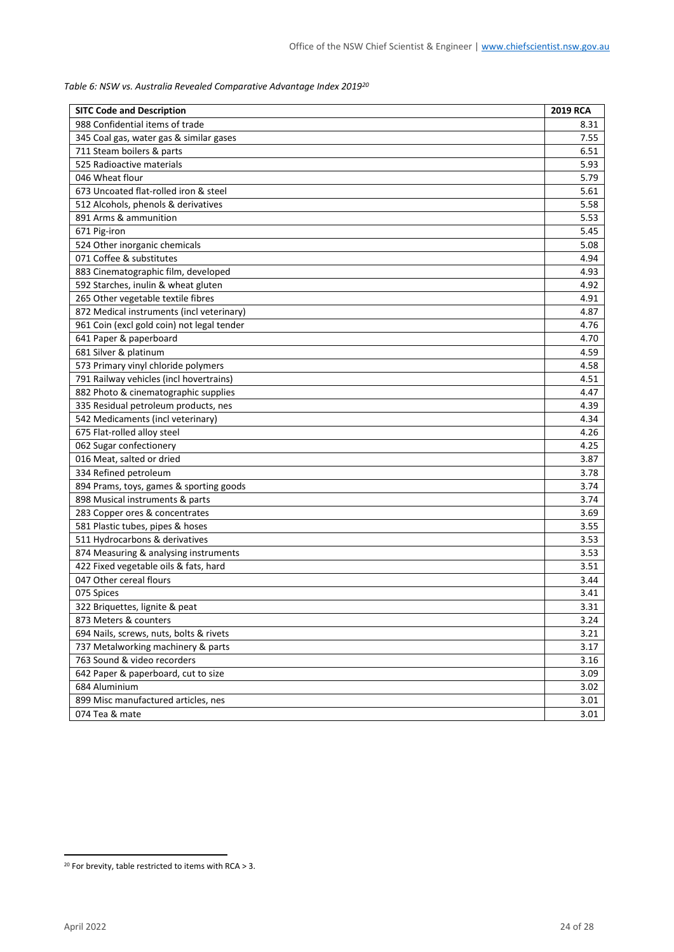<span id="page-23-0"></span>*Table 6: NSW vs. Australia Revealed Comparative Advantage Index 2019<sup>20</sup>*

| <b>SITC Code and Description</b>           | 2019 RCA |
|--------------------------------------------|----------|
| 988 Confidential items of trade            | 8.31     |
| 345 Coal gas, water gas & similar gases    | 7.55     |
| 711 Steam boilers & parts                  | 6.51     |
| 525 Radioactive materials                  | 5.93     |
| 046 Wheat flour                            | 5.79     |
| 673 Uncoated flat-rolled iron & steel      | 5.61     |
| 512 Alcohols, phenols & derivatives        | 5.58     |
| 891 Arms & ammunition                      | 5.53     |
| 671 Pig-iron                               | 5.45     |
| 524 Other inorganic chemicals              | 5.08     |
| 071 Coffee & substitutes                   | 4.94     |
| 883 Cinematographic film, developed        | 4.93     |
| 592 Starches, inulin & wheat gluten        | 4.92     |
| 265 Other vegetable textile fibres         | 4.91     |
| 872 Medical instruments (incl veterinary)  | 4.87     |
| 961 Coin (excl gold coin) not legal tender | 4.76     |
| 641 Paper & paperboard                     | 4.70     |
| 681 Silver & platinum                      | 4.59     |
| 573 Primary vinyl chloride polymers        | 4.58     |
| 791 Railway vehicles (incl hovertrains)    | 4.51     |
| 882 Photo & cinematographic supplies       | 4.47     |
| 335 Residual petroleum products, nes       | 4.39     |
| 542 Medicaments (incl veterinary)          | 4.34     |
| 675 Flat-rolled alloy steel                | 4.26     |
| 062 Sugar confectionery                    | 4.25     |
| 016 Meat, salted or dried                  | 3.87     |
| 334 Refined petroleum                      | 3.78     |
| 894 Prams, toys, games & sporting goods    | 3.74     |
| 898 Musical instruments & parts            | 3.74     |
| 283 Copper ores & concentrates             | 3.69     |
| 581 Plastic tubes, pipes & hoses           | 3.55     |
| 511 Hydrocarbons & derivatives             | 3.53     |
| 874 Measuring & analysing instruments      | 3.53     |
| 422 Fixed vegetable oils & fats, hard      | 3.51     |
| 047 Other cereal flours                    | 3.44     |
| 075 Spices                                 | 3.41     |
| 322 Briquettes, lignite & peat             | 3.31     |
| 873 Meters & counters                      | 3.24     |
| 694 Nails, screws, nuts, bolts & rivets    | 3.21     |
| 737 Metalworking machinery & parts         | 3.17     |
| 763 Sound & video recorders                | 3.16     |
| 642 Paper & paperboard, cut to size        | 3.09     |
| 684 Aluminium                              | 3.02     |
| 899 Misc manufactured articles, nes        | 3.01     |
| 074 Tea & mate                             | 3.01     |

<sup>&</sup>lt;sup>20</sup> For brevity, table restricted to items with RCA  $>$  3.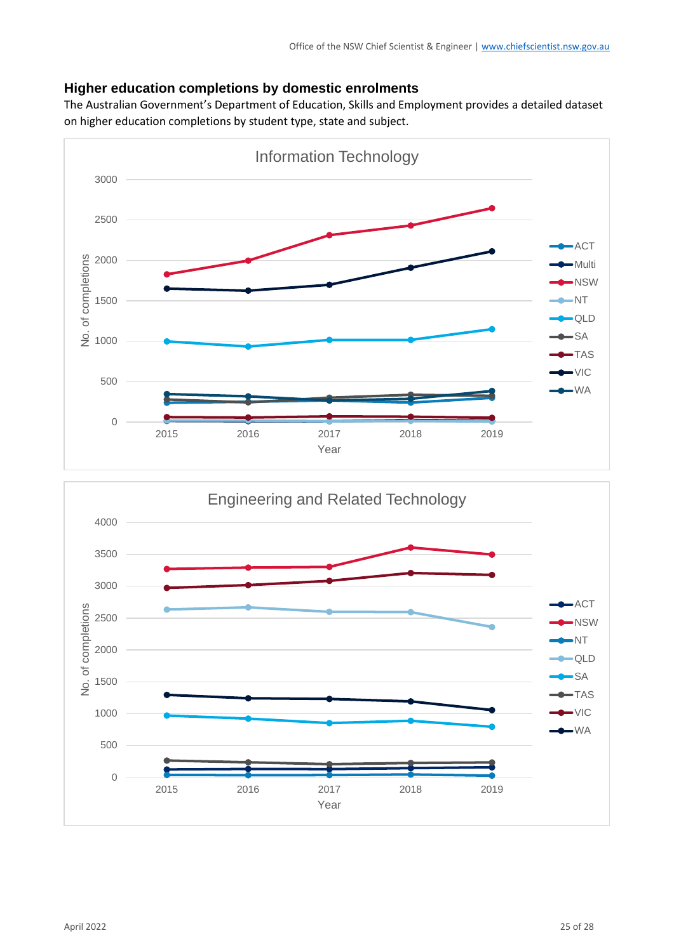# **Higher education completions by domestic enrolments**

The Australian Government's Department of Education, Skills and Employment provides a detailed dataset on higher education completions by student type, state and subject.



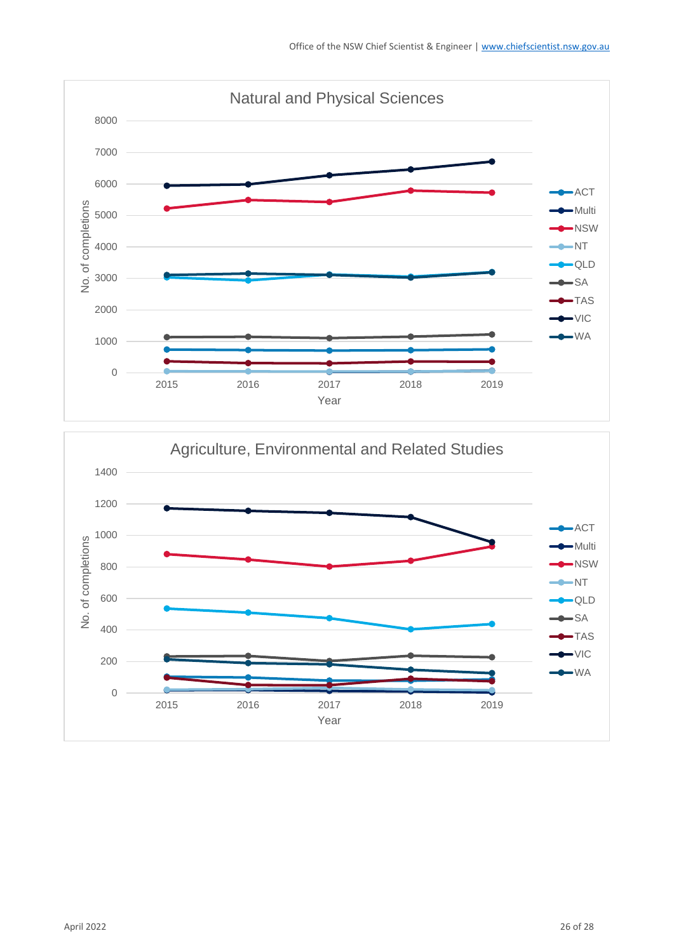

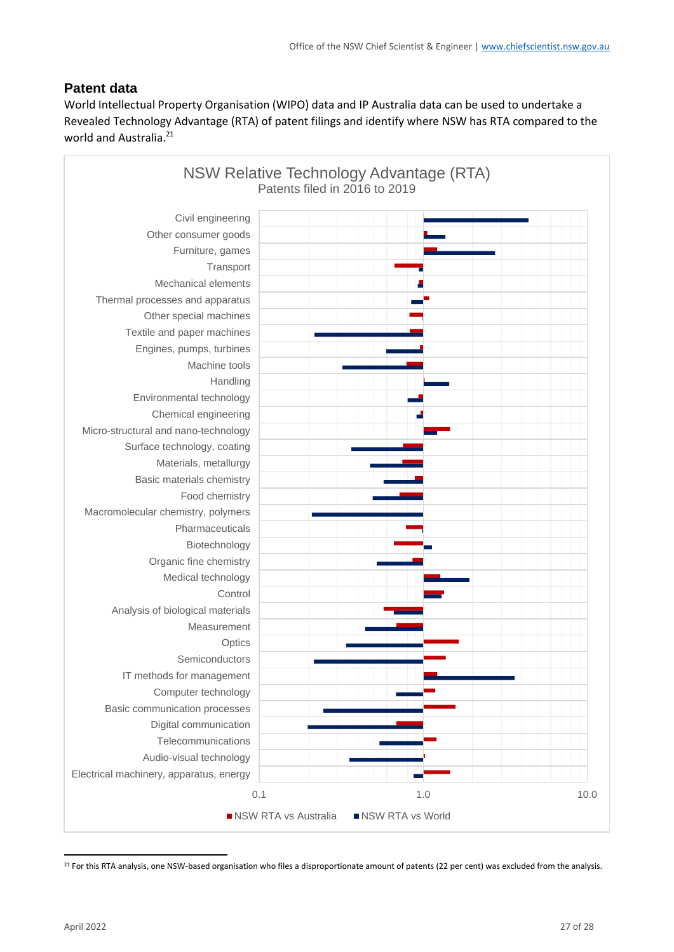# **Patent data**

World Intellectual Property Organisation (WIPO) data and IP Australia data can be used to undertake a Revealed Technology Advantage (RTA) of patent filings and identify where NSW has RTA compared to the world and Australia.<sup>21</sup>



<sup>21</sup> For this RTA analysis, one NSW-based organisation who files a disproportionate amount of patents (22 per cent) was excluded from the analysis.